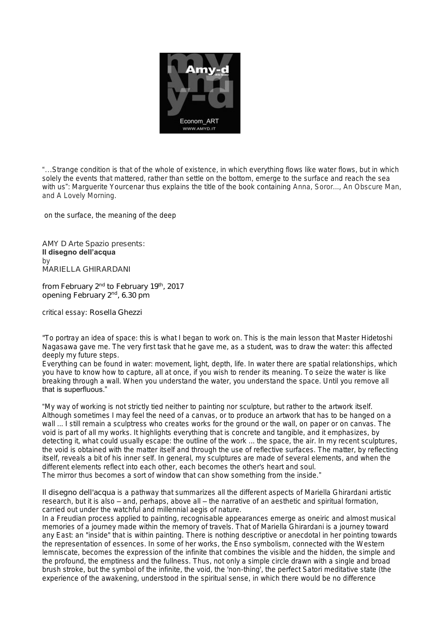

"…Strange condition is that of the whole of existence, in which everything flows like water flows, but in which solely the events that mattered, rather than settle on the bottom, emerge to the surface and reach the sea with us": Marguerite Yourcenar thus explains the title of the book containing *Anna, Soror...*, *An Obscure Man*, and *A Lovely Morning*.

*on the surface, the meaning of the deep*

AMY D Arte Spazio presents: Il disegno dell'acqua *by* MARIELLA GHIRARDANI

from February 2<sup>nd</sup> to February 19<sup>th</sup>, 2017 opening February 2<sup>nd</sup>, 6.30 pm

*critical essay*: Rosella Ghezzi

"To portray an idea of space: this is what I began to work on. This is the main lesson that Master Hidetoshi Nagasawa gave me. The very first task that he gave me, as a student, was to draw the water: this affected deeply my future steps.

Everything can be found in water: movement, light, depth, life. In water there are spatial relationships, which you have to know how to capture, all at once, if you wish to render its meaning. To seize the water is like breaking through a wall. When you understand the water, you understand the space. Until you remove all that is superfluous."

"My way of working is not strictly tied neither to painting nor sculpture, but rather to the artwork itself. Although sometimes I may feel the need of a canvas, or to produce an artwork that has to be hanged on a wall ... I still remain a sculptress who creates works for the ground or the wall, on paper or on canvas. The void is part of all my works. It highlights everything that is concrete and tangible, and it emphasizes, by detecting it, what could usually escape: the outline of the work ... the space, the air. In my recent sculptures, the void is obtained with the matter itself and through the use of reflective surfaces. The matter, by reflecting itself, reveals a bit of his inner self. In general, my sculptures are made of several elements, and when the different elements reflect into each other, each becomes the other's heart and soul. The mirror thus becomes a sort of window that can show something from the inside."

*Il disegno dell'acqua* is a pathway that summarizes all the different aspects of Mariella Ghirardani artistic research, but it is also – and, perhaps, above all – the narrative of an aesthetic and spiritual formation, carried out under the watchful and millennial aegis of nature.

In a Freudian process applied to painting, recognisable appearances emerge as oneiric and almost musical memories of a journey made within the memory of travels. That of Mariella Ghirardani is a journey toward any East: an "inside" that is within painting. There is nothing descriptive or anecdotal in her pointing towards the representation of essences. In some of her works, the Enso symbolism, connected with the Western lemniscate, becomes the expression of the infinite that combines the visible and the hidden, the simple and the profound, the emptiness and the fullness. Thus, not only a simple circle drawn with a single and broad brush stroke, but the symbol of the infinite, the void, the 'non-thing', the perfect Satori meditative state (the experience of the awakening, understood in the spiritual sense, in which there would be no difference